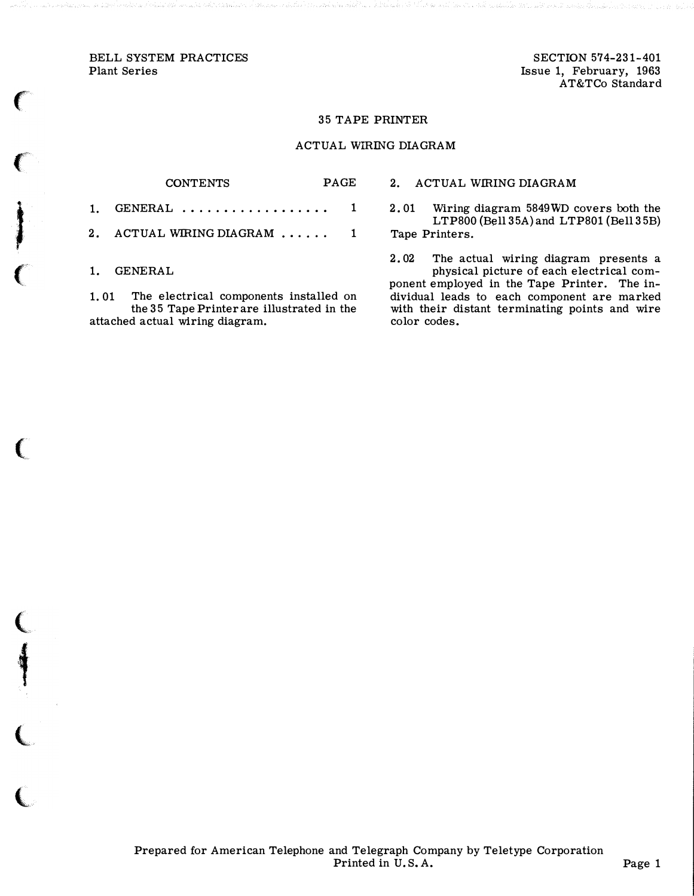BELL SYSTEM PRACTICES Plant Series

}

 $\big($ 

 $\big($ 

i

 $\overline{\mathbb{C}}$ 

 $\overline{\mathbb{C}}$ 

SECTION 574-231-401 Issue 1, February, 1963 AT&TCo Standard

## 35 TAPE PRINTER

## ACTUAL WIRING DIAGRAM

| <b>CONTENTS</b>             | <b>PAGE</b> |  |
|-----------------------------|-------------|--|
| 1. GENERAL $1$              |             |  |
| 2. ACTUAL WIRING DIAGRAM  1 |             |  |
| 1. GENERAL                  |             |  |

1. 01 The electrical components installed on the 35 Tape Printer are illustrated in the attached actual wiring diagram.

2. 01 Wiring diagram 5849WD covers both the  $LTP800$  (Bell 35A) and  $LTP801$  (Bell 35B) Tape Printers.

2. ACTUAL WIRING DIAGRAM

2. 02 The actual wiring diagram presents a physical picture of each electrical component employed in the Tape Printer. The individual leads to each component are marked with their distant terminating points and wire color codes.